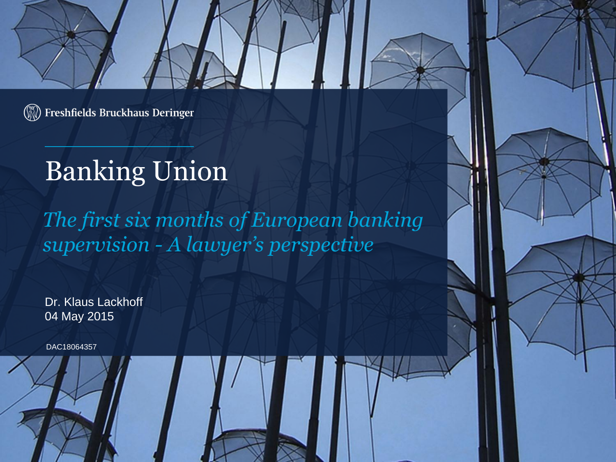**W** Freshfields Bruckhaus Deringer

# Banking Union

*The first six months of European banking supervision - A lawyer's perspective*

Dr. Klaus Lackhoff 04 May 2015

DAC18064357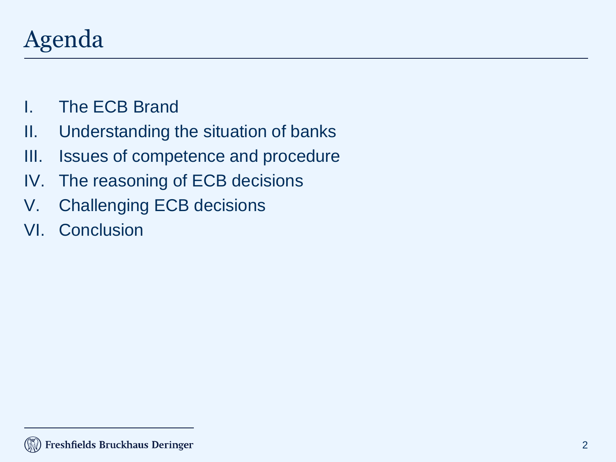## Agenda

- I. The ECB Brand
- II. Understanding the situation of banks
- III. Issues of competence and procedure
- IV. The reasoning of ECB decisions
- V. Challenging ECB decisions
- VI. Conclusion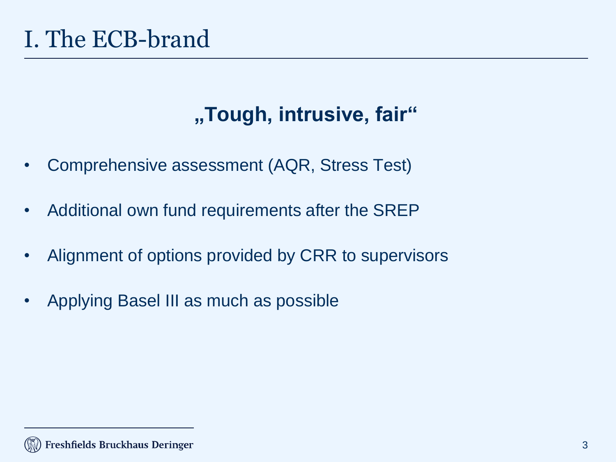## **"Tough, intrusive, fair"**

- Comprehensive assessment (AQR, Stress Test)
- Additional own fund requirements after the SREP
- Alignment of options provided by CRR to supervisors
- Applying Basel III as much as possible

#### Freshfields Bruckhaus Deringer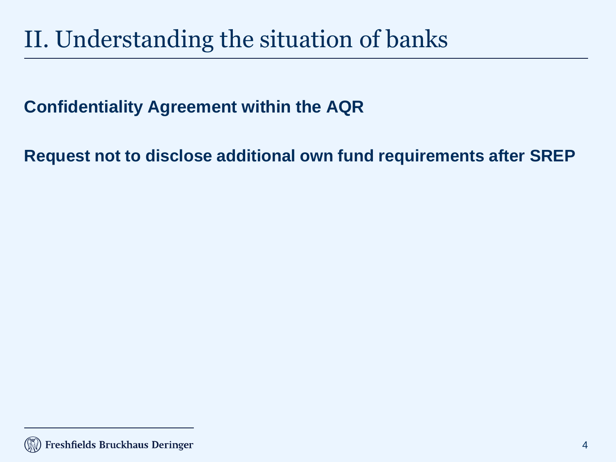# II. Understanding the situation of banks

### **Confidentiality Agreement within the AQR**

**Request not to disclose additional own fund requirements after SREP**

Freshfields Bruckhaus Deringer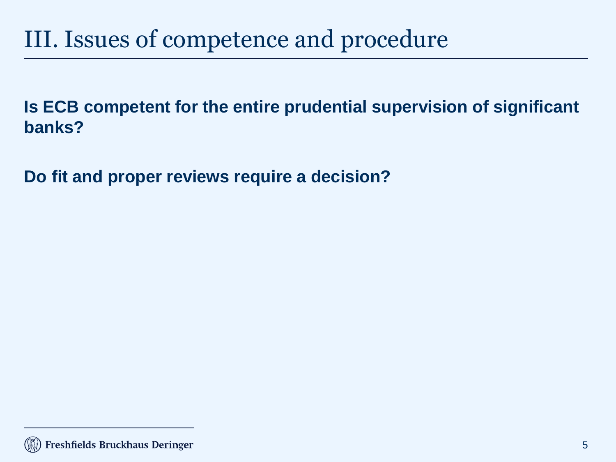## III. Issues of competence and procedure

**Is ECB competent for the entire prudential supervision of significant banks?**

**Do fit and proper reviews require a decision?**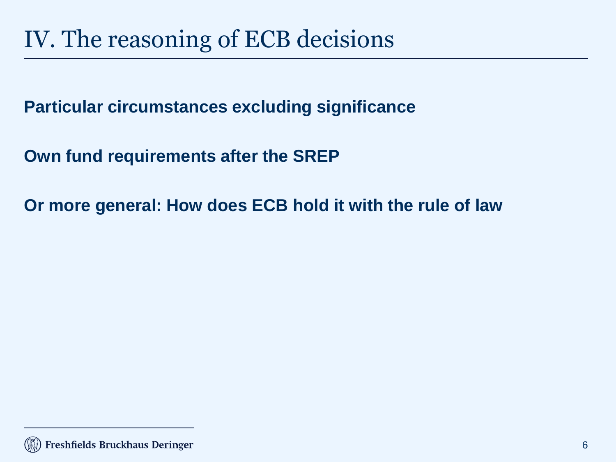**Particular circumstances excluding significance**

**Own fund requirements after the SREP**

**Or more general: How does ECB hold it with the rule of law**

Freshfields Bruckhaus Deringer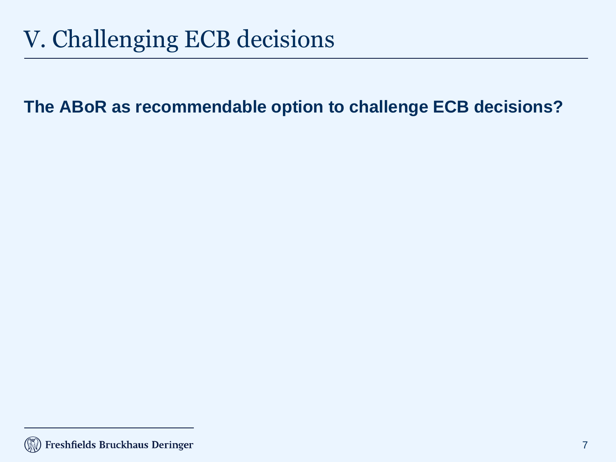# V. Challenging ECB decisions

**The ABoR as recommendable option to challenge ECB decisions?**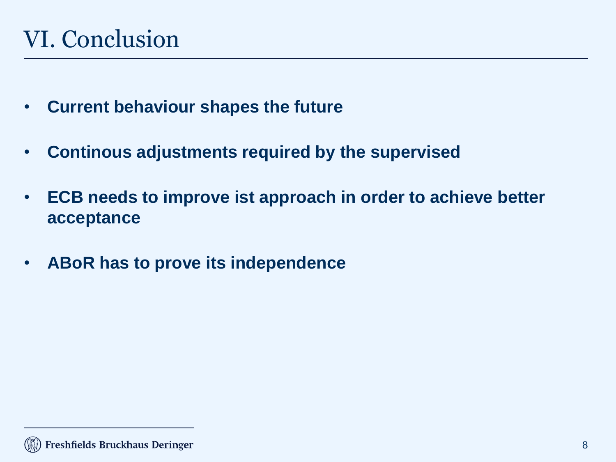- **Current behaviour shapes the future**
- **Continous adjustments required by the supervised**
- **ECB needs to improve ist approach in order to achieve better acceptance**
- **ABoR has to prove its independence**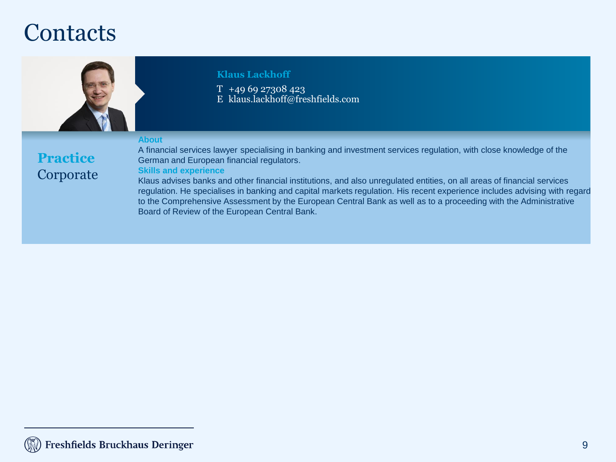### **Contacts**



#### **Klaus Lackhoff**

 $T + 496927308423$ E klaus.lackhoff@freshfields.com

#### **About**

#### **Practice** Corporate

A financial services lawyer specialising in banking and investment services regulation, with close knowledge of the German and European financial regulators.

#### **Skills and experience**

Klaus advises banks and other financial institutions, and also unregulated entities, on all areas of financial services regulation. He specialises in banking and capital markets regulation. His recent experience includes advising with regard to the Comprehensive Assessment by the European Central Bank as well as to a proceeding with the Administrative Board of Review of the European Central Bank.